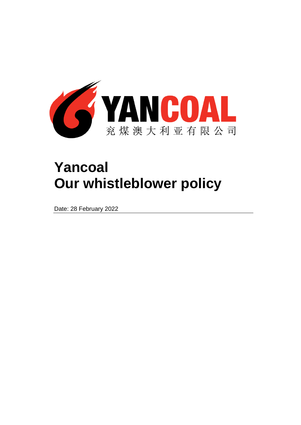

# **Yancoal Our whistleblower policy**

Date: 28 February 2022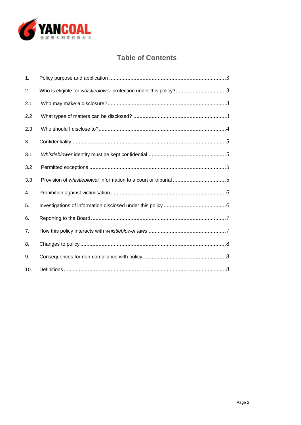

# **Table of Contents**

| 1.  |                                                                  |
|-----|------------------------------------------------------------------|
| 2.  | Who is eligible for whistleblower protection under this policy?3 |
| 2.1 |                                                                  |
| 2.2 |                                                                  |
| 2.3 |                                                                  |
| 3.  |                                                                  |
| 3.1 |                                                                  |
| 3.2 |                                                                  |
| 3.3 |                                                                  |
| 4.  |                                                                  |
| 5.  |                                                                  |
| 6.  |                                                                  |
| 7.  |                                                                  |
| 8.  |                                                                  |
| 9.  |                                                                  |
| 10. |                                                                  |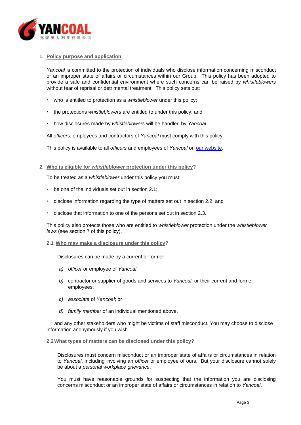

# <span id="page-2-0"></span>**1. Policy purpose and application**

*Yancoal* is committed to the protection of individuals who disclose information concerning misconduct or an improper state of affairs or circumstances within our Group. This policy has been adopted to provide a safe and confidential environment where such concerns can be raised by *whistleblowers* without fear of reprisal or detrimental treatment. This policy sets out:

- who is entitled to protection as a *whistleblower* under this policy;
- the protections *whistleblowers* are entitled to under this policy; and
- how disclosures made by *whistleblowers* will be handled by *Yancoal*.

All *officers*, employees and contractors of *Yancoal* must comply with this policy.

This policy is available to all *officers* and employees of *Yancoal* on [our website.](http://www.yancoal.com.au/)

<span id="page-2-1"></span>**2. Who is eligible for** *whistleblower* **protection under this policy?**

To be treated as a *whistleblower* under this policy you must:

- $\cdot$  be one of the individuals set out in section [2.1;](#page-2-4)
- disclose information regarding the type of matters set out in section [2.2;](#page-2-3) and
- disclose that information to one of the persons set out in section [2.3.](#page-3-1)

This policy also protects those who are entitled to *whistleblower* protection under the *whistleblower laws* (see section [7](#page-6-1) of this policy).

#### <span id="page-2-4"></span><span id="page-2-2"></span>**2.1 Who may make a disclosure under this policy?**

Disclosures can be made by a current or former:

- *a) officer* or employee of *Yancoal*;
- *b)* contractor or supplier of goods and services to *Yancoal*, or their current and former employees;
- *c) associate* of *Yancoal*; or
- *d) family member* of an individual mentioned above,

and any other stakeholders who might be victims of staff misconduct. You may choose to disclose information anonymously if you wish.

#### <span id="page-2-3"></span>**2.2What types of matters can be disclosed under this policy?**

Disclosures must concern misconduct or an improper state of affairs or circumstances in relation to *Yancoal*, including involving an *officer* or employee of ours. But your disclosure cannot solely be about a *personal workplace grievance*.

You must have reasonable grounds for suspecting that the information you are disclosing concerns misconduct or an improper state of affairs or circumstances in relation to *Yancoal*.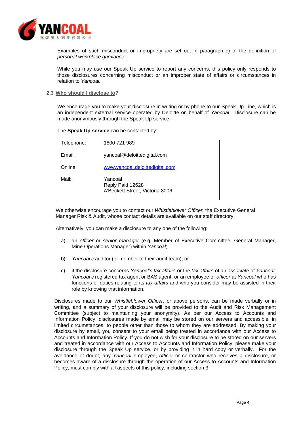

Examples of such misconduct or impropriety are set out in paragraph [c\)](#page-7-3) of the definition of *personal workplace grievance.*

While you may use our Speak Up service to report any concerns, this policy only responds to those disclosures concerning misconduct or an improper state of affairs or circumstances in relation to *Yancoal.*

#### <span id="page-3-1"></span><span id="page-3-0"></span>**2.3 Who should I disclose to?**

We encourage you to make your disclosure in writing or by phone to our Speak Up Line, which is an independent external service operated by Deloitte on behalf of *Yancoal*. Disclosure can be made anonymously through the Speak Up service.

The **Speak Up service** can be contacted by:

| Telephone: | 1800 721 989                                                   |
|------------|----------------------------------------------------------------|
| Email:     | yancoal@deloittedigital.com                                    |
| Online:    | www.yancoal.deloittedigital.com                                |
| Mail:      | Yancoal<br>Reply Paid 12628<br>A'Beckett Street, Victoria 8006 |

We otherwise encourage you to contact our *Whistleblower Officer,* the Executive General Manager Risk & Audit, whose contact details are available on our staff directory.

Alternatively, you can make a disclosure to any one of the following:

- a) an *officer* or *senior manager* (e.g. Member of Executive Committee, General Manager, Mine Operations Manager) within *Yancoal*;
- b) *Yancoal's* auditor (or member of their audit team); or
- c) if the disclosure concerns *Yancoal's tax affairs* or the *tax affairs* of an *associate* of *Yancoal*: *Yancoal's* registered tax agent or BAS agent, or an employee or *officer* at *Yancoal* who has functions or duties relating to its *tax affairs* and who you consider may be assisted in their role by knowing that information.

Disclosures made to our *Whistleblower Officer*, or above persons, can be made verbally or in writing, and a summary of your disclosure will be provided to the Audit and Risk Management Committee (subject to maintaining your anonymity). As per our Access to Accounts and Information Policy, disclosures made by email may be stored on our servers and accessible, in limited circumstances, to people other than those to whom they are addressed. By making your disclosure by email, you consent to your email being treated in accordance with our Access to Accounts and Information Policy. If you do not wish for your disclosure to be stored on our servers and treated in accordance with our Access to Accounts and Information Policy, please make your disclosure through the Speak Up service, or by providing it in hard copy or verbally. For the avoidance of doubt, any *Yancoal* employee, *officer* or contractor who receives a disclosure, or becomes aware of a disclosure through the operation of our Access to Accounts and Information Policy, must comply with all aspects of this policy, including section [3.](#page-4-0)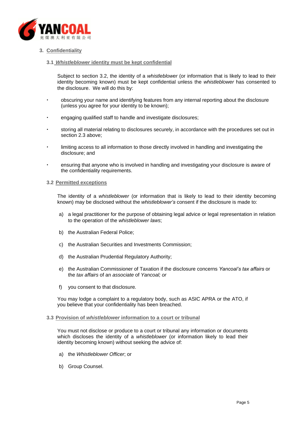

# <span id="page-4-1"></span><span id="page-4-0"></span>**3. Confidentiality**

#### **3.1** *Whistleblower* **identity must be kept confidential**

Subject to section [3.2,](#page-4-2) the identity of a *whistleblower* (or information that is likely to lead to their identity becoming known) must be kept confidential unless the *whistleblower* has consented to the disclosure. We will do this by:

- obscuring your name and identifying features from any internal reporting about the disclosure (unless you agree for your identity to be known);
- engaging qualified staff to handle and investigate disclosures;
- storing all material relating to disclosures securely, in accordance with the procedures set out in section [2.3 above;](#page-3-0)
- limiting access to all information to those directly involved in handling and investigating the disclosure; and
- ensuring that anyone who is involved in handling and investigating your disclosure is aware of the confidentiality requirements.

#### <span id="page-4-2"></span>**3.2 Permitted exceptions**

The identity of a *whistleblower* (or information that is likely to lead to their identity becoming known) may be disclosed without the *whistleblower's* consent if the disclosure is made to:

- a) a legal practitioner for the purpose of obtaining legal advice or legal representation in relation to the operation of the *whistleblower laws*;
- b) the Australian Federal Police;
- c) the Australian Securities and Investments Commission;
- d) the Australian Prudential Regulatory Authority;
- e) the Australian Commissioner of Taxation if the disclosure concerns *Yancoal's tax affairs* or the *tax affairs* of an *associate* of *Yancoal; or*
- f) you consent to that disclosure*.*

You may lodge a complaint to a regulatory body, such as ASIC APRA or the ATO, if you believe that your confidentiality has been breached.

#### <span id="page-4-3"></span>**3.3 Provision of** *whistleblower* **information to a court or tribunal**

You must not disclose or produce to a court or tribunal any information or documents which discloses the identity of a *whistleblower* (or information likely to lead their identity becoming known) without seeking the advice of:

- a) the *Whistleblower Officer*; or
- b) Group Counsel.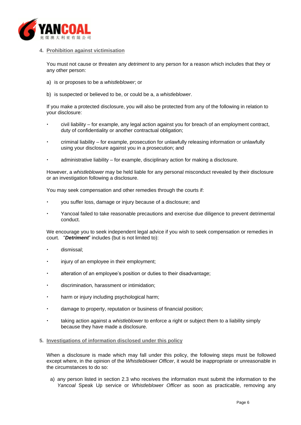

# <span id="page-5-0"></span>**4. Prohibition against victimisation**

You must not cause or threaten any *detriment* to any person for a reason which includes that they or any other person:

- a) is or proposes to be a *whistleblower*; or
- b) is suspected or believed to be, or could be a, a *whistleblower*.

If you make a protected disclosure, you will also be protected from any of the following in relation to your disclosure:

- civil liability for example, any legal action against you for breach of an employment contract, duty of confidentiality or another contractual obligation;
- criminal liability for example, prosecution for unlawfully releasing information or unlawfully using your disclosure against you in a prosecution; and
- administrative liability for example, disciplinary action for making a disclosure.

However, a *whistleblower* may be held liable for any personal misconduct revealed by their disclosure or an investigation following a disclosure.

You may seek compensation and other remedies through the courts if:

- you suffer loss, damage or injury because of a disclosure; and
- Yancoal failed to take reasonable precautions and exercise due diligence to prevent detrimental conduct.

We encourage you to seek independent legal advice if you wish to seek compensation or remedies in court. "*Detriment*" includes (but is not limited to):

- dismissal;
- injury of an employee in their employment;
- alteration of an employee's position or duties to their disadvantage;
- discrimination, harassment or intimidation;
- harm or injury including psychological harm;
- damage to property, reputation or business of financial position;
- taking action against a *whistleblower* to enforce a right or subject them to a liability simply because they have made a disclosure.
- <span id="page-5-1"></span>**5. Investigations of information disclosed under this policy**

When a disclosure is made which may fall under this policy, the following steps must be followed except where, in the opinion of the *Whistleblower Officer*, it would be inappropriate or unreasonable in the circumstances to do so:

a) any person listed in section [2.3](#page-3-1) who receives the information must submit the information to the *Yancoal* Speak Up service or *Whistleblower Officer* as soon as practicable, removing any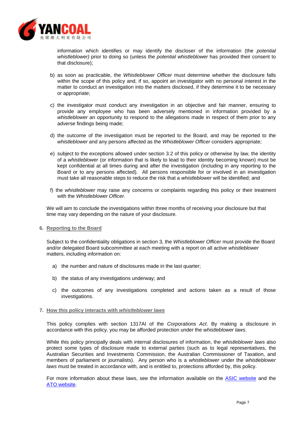

information which identifies or may identify the discloser of the information (the *potential whistleblower)* prior to doing so (unless the *potential whistleblower* has provided their consent to that disclosure);

- b) as soon as practicable, the *Whistleblower Officer* must determine whether the disclosure falls within the scope of this policy and, if so, appoint an investigator with no personal interest in the matter to conduct an investigation into the matters disclosed, if they determine it to be necessary or appropriate;
- c) the investigator must conduct any investigation in an objective and fair manner, ensuring to provide any employee who has been adversely mentioned in information provided by a *whistleblower* an opportunity to respond to the allegations made in respect of them prior to any adverse findings being made;
- d) the outcome of the investigation must be reported to the Board, and may be reported to the *whistleblower* and any persons affected as the *Whistleblower Officer* considers appropriate;
- e) subject to the exceptions allowed under section [3.2](#page-4-2) of this policy or otherwise by law, the identity of a *whistleblower* (or information that is likely to lead to their identity becoming known) must be kept confidential at all times during and after the investigation (including in any reporting to the Board or to any persons affected). All persons responsible for or involved in an investigation must take all reasonable steps to reduce the risk that a *whistleblower* will be identified; and
- f) the *whistleblower* may raise any concerns or complaints regarding this policy or their treatment with the *Whistleblower Officer*.

We will aim to conclude the investigations within three months of receiving your disclosure but that time may vary depending on the nature of your disclosure.

#### <span id="page-6-0"></span>**6. Reporting to the Board**

Subject to the confidentiality obligations in section [3,](#page-4-0) the *Whistleblower Officer* must provide the Board and/or delegated Board subcommittee at each meeting with a report on all active *whistleblower*  matters, including information on:

- a) the number and nature of disclosures made in the last quarter;
- b) the status of any investigations underway; and
- c) the outcomes of any investigations completed and actions taken as a result of those investigations.

#### <span id="page-6-1"></span>**7. How this policy interacts with** *whistleblower laws*

This policy complies with section 1317AI of the *Corporations Act*. By making a disclosure in accordance with this policy, you may be afforded protection under the *whistleblower laws*.

While this policy principally deals with internal disclosures of information, the *whistleblower laws* also protect some types of disclosure made to external parties (such as to legal representatives, the Australian Securities and Investments Commission, the Australian Commissioner of Taxation, and members of parliament or journalists). Any person who is a *whistleblower* under the *whistleblower laws* must be treated in accordance with, and is entitled to, protections afforded by, this policy.

For more information about these laws, see the information available on the [ASIC website](https://sitesearch.asic.gov.au/s/search.html?query=whistleblowing+laws&collection=asic&profile=asic) and the [ATO website.](https://www.ato.gov.au/General/Gen/Whistleblowers/)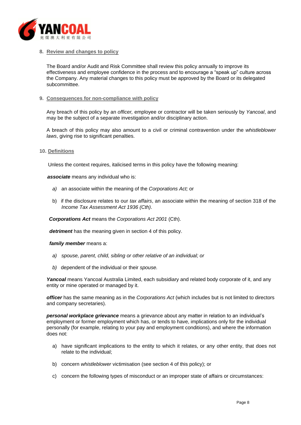

#### <span id="page-7-0"></span>**8. Review and changes to policy**

The Board and/or Audit and Risk Committee shall review this policy annually to improve its effectiveness and employee confidence in the process and to encourage a "speak up" culture across the Company. Any material changes to this policy must be approved by the Board or its delegated subcommittee.

#### <span id="page-7-1"></span>**9. Consequences for non-compliance with policy**

Any breach of this policy by an *officer,* employee or contractor will be taken seriously by *Yancoal*, and may be the subject of a separate investigation and/or disciplinary action.

A breach of this policy may also amount to a civil or criminal contravention under the *whistleblower laws*, giving rise to significant penalties.

#### <span id="page-7-2"></span>**10. Definitions**

Unless the context requires, italicised terms in this policy have the following meaning:

*associate* means any individual who is:

- *a)* an associate within the meaning of the *Corporations Act;* or
- b) if the disclosure relates to our *tax affairs*, an associate within the meaning of section 318 of the *Income Tax Assessment Act 1936 (Cth)*.

*Corporations Act* means the *Corporations Act 2001* (Cth).

*detriment* has the meaning given in section [4](#page-5-0) of this policy.

*family member* means a:

- *a) spouse, parent, child, sibling or other relative of an individual; or*
- *b)* dependent of the individual or their *spouse.*

*Yancoal* means Yancoal Australia Limited, each subsidiary and related body corporate of it, and any entity or mine operated or managed by it.

*officer* has the same meaning as in the *Corporations Act* (which includes but is not limited to directors and company secretaries).

*personal workplace grievance* means a grievance about any matter in relation to an individual's employment or former employment which has, or tends to have, implications only for the individual personally (for example, relating to your pay and employment conditions), and where the information does not:

- a) have significant implications to the entity to which it relates, or any other entity, that does not relate to the individual;
- b) concern *whistleblower* victimisation (see section [4](#page-5-0) of this policy); or
- <span id="page-7-3"></span>c) concern the following types of misconduct or an improper state of affairs or circumstances: